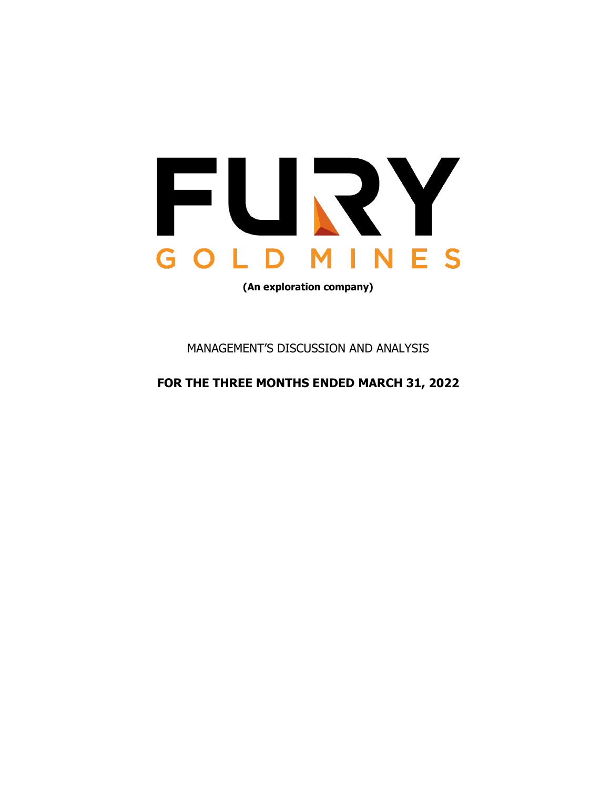

MANAGEMENT'S DISCUSSION AND ANALYSIS

**FOR THE THREE MONTHS ENDED MARCH 31, 2022**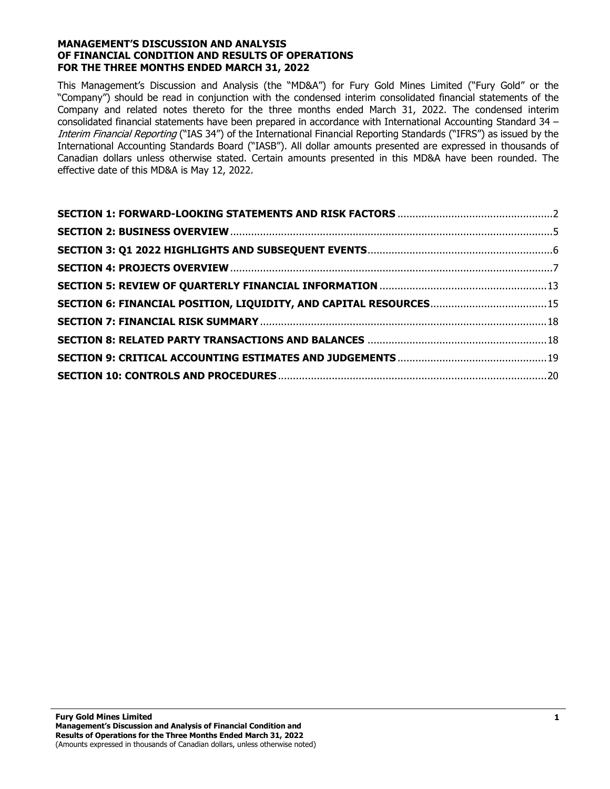### **MANAGEMENT'S DISCUSSION AND ANALYSIS OF FINANCIAL CONDITION AND RESULTS OF OPERATIONS FOR THE THREE MONTHS ENDED MARCH 31, 2022**

This Management's Discussion and Analysis (the "MD&A") for Fury Gold Mines Limited ("Fury Gold" or the "Company") should be read in conjunction with the condensed interim consolidated financial statements of the Company and related notes thereto for the three months ended March 31, 2022. The condensed interim consolidated financial statements have been prepared in accordance with International Accounting Standard 34 – Interim Financial Reporting ("IAS 34") of the International Financial Reporting Standards ("IFRS") as issued by the International Accounting Standards Board ("IASB"). All dollar amounts presented are expressed in thousands of Canadian dollars unless otherwise stated. Certain amounts presented in this MD&A have been rounded. The effective date of this MD&A is May 12, 2022.

| SECTION 6: FINANCIAL POSITION, LIQUIDITY, AND CAPITAL RESOURCES 15 |  |
|--------------------------------------------------------------------|--|
|                                                                    |  |
|                                                                    |  |
|                                                                    |  |
|                                                                    |  |
|                                                                    |  |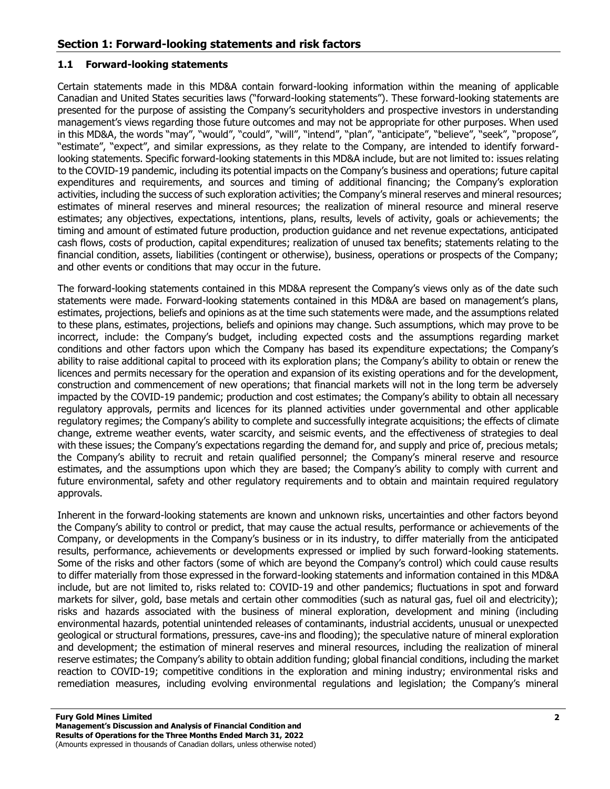# <span id="page-2-0"></span>**1.1 Forward-looking statements**

Certain statements made in this MD&A contain forward-looking information within the meaning of applicable Canadian and United States securities laws ("forward-looking statements"). These forward-looking statements are presented for the purpose of assisting the Company's securityholders and prospective investors in understanding management's views regarding those future outcomes and may not be appropriate for other purposes. When used in this MD&A, the words "may", "would", "could", "will", "intend", "plan", "anticipate", "believe", "seek", "propose", "estimate", "expect", and similar expressions, as they relate to the Company, are intended to identify forwardlooking statements. Specific forward-looking statements in this MD&A include, but are not limited to: issues relating to the COVID-19 pandemic, including its potential impacts on the Company's business and operations; future capital expenditures and requirements, and sources and timing of additional financing; the Company's exploration activities, including the success of such exploration activities; the Company's mineral reserves and mineral resources; estimates of mineral reserves and mineral resources; the realization of mineral resource and mineral reserve estimates; any objectives, expectations, intentions, plans, results, levels of activity, goals or achievements; the timing and amount of estimated future production, production guidance and net revenue expectations, anticipated cash flows, costs of production, capital expenditures; realization of unused tax benefits; statements relating to the financial condition, assets, liabilities (contingent or otherwise), business, operations or prospects of the Company; and other events or conditions that may occur in the future.

The forward-looking statements contained in this MD&A represent the Company's views only as of the date such statements were made. Forward-looking statements contained in this MD&A are based on management's plans, estimates, projections, beliefs and opinions as at the time such statements were made, and the assumptions related to these plans, estimates, projections, beliefs and opinions may change. Such assumptions, which may prove to be incorrect, include: the Company's budget, including expected costs and the assumptions regarding market conditions and other factors upon which the Company has based its expenditure expectations; the Company's ability to raise additional capital to proceed with its exploration plans; the Company's ability to obtain or renew the licences and permits necessary for the operation and expansion of its existing operations and for the development, construction and commencement of new operations; that financial markets will not in the long term be adversely impacted by the COVID-19 pandemic; production and cost estimates; the Company's ability to obtain all necessary regulatory approvals, permits and licences for its planned activities under governmental and other applicable regulatory regimes; the Company's ability to complete and successfully integrate acquisitions; the effects of climate change, extreme weather events, water scarcity, and seismic events, and the effectiveness of strategies to deal with these issues; the Company's expectations regarding the demand for, and supply and price of, precious metals; the Company's ability to recruit and retain qualified personnel; the Company's mineral reserve and resource estimates, and the assumptions upon which they are based; the Company's ability to comply with current and future environmental, safety and other regulatory requirements and to obtain and maintain required regulatory approvals.

Inherent in the forward-looking statements are known and unknown risks, uncertainties and other factors beyond the Company's ability to control or predict, that may cause the actual results, performance or achievements of the Company, or developments in the Company's business or in its industry, to differ materially from the anticipated results, performance, achievements or developments expressed or implied by such forward-looking statements. Some of the risks and other factors (some of which are beyond the Company's control) which could cause results to differ materially from those expressed in the forward-looking statements and information contained in this MD&A include, but are not limited to, risks related to: COVID-19 and other pandemics; fluctuations in spot and forward markets for silver, gold, base metals and certain other commodities (such as natural gas, fuel oil and electricity); risks and hazards associated with the business of mineral exploration, development and mining (including environmental hazards, potential unintended releases of contaminants, industrial accidents, unusual or unexpected geological or structural formations, pressures, cave-ins and flooding); the speculative nature of mineral exploration and development; the estimation of mineral reserves and mineral resources, including the realization of mineral reserve estimates; the Company's ability to obtain addition funding; global financial conditions, including the market reaction to COVID-19; competitive conditions in the exploration and mining industry; environmental risks and remediation measures, including evolving environmental regulations and legislation; the Company's mineral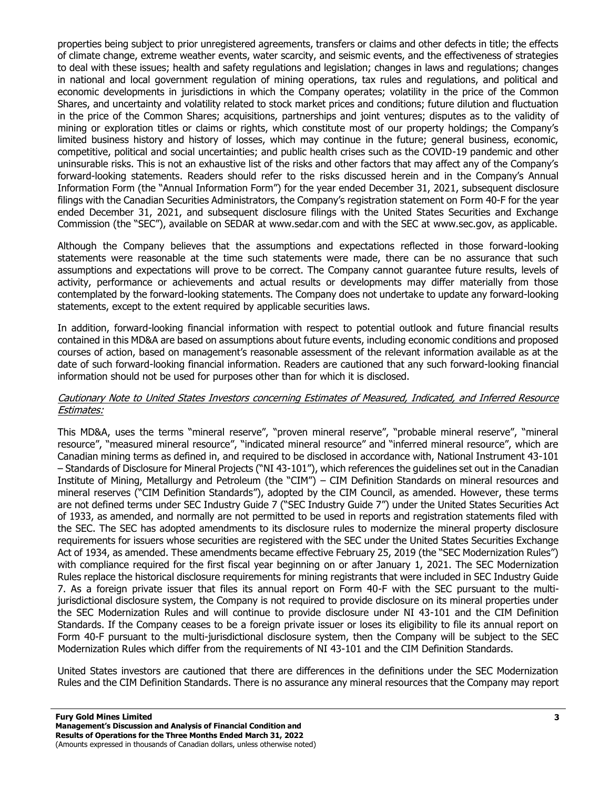properties being subject to prior unregistered agreements, transfers or claims and other defects in title; the effects of climate change, extreme weather events, water scarcity, and seismic events, and the effectiveness of strategies to deal with these issues; health and safety regulations and legislation; changes in laws and regulations; changes in national and local government regulation of mining operations, tax rules and regulations, and political and economic developments in jurisdictions in which the Company operates; volatility in the price of the Common Shares, and uncertainty and volatility related to stock market prices and conditions; future dilution and fluctuation in the price of the Common Shares; acquisitions, partnerships and joint ventures; disputes as to the validity of mining or exploration titles or claims or rights, which constitute most of our property holdings; the Company's limited business history and history of losses, which may continue in the future; general business, economic, competitive, political and social uncertainties; and public health crises such as the COVID-19 pandemic and other uninsurable risks. This is not an exhaustive list of the risks and other factors that may affect any of the Company's forward-looking statements. Readers should refer to the risks discussed herein and in the Company's Annual Information Form (the "Annual Information Form") for the year ended December 31, 2021, subsequent disclosure filings with the Canadian Securities Administrators, the Company's registration statement on Form 40-F for the year ended December 31, 2021, and subsequent disclosure filings with the United States Securities and Exchange Commission (the "SEC"), available on SEDAR at www.sedar.com and with the SEC at [www.sec.gov,](http://www.sec.gov/) as applicable.

Although the Company believes that the assumptions and expectations reflected in those forward-looking statements were reasonable at the time such statements were made, there can be no assurance that such assumptions and expectations will prove to be correct. The Company cannot guarantee future results, levels of activity, performance or achievements and actual results or developments may differ materially from those contemplated by the forward-looking statements. The Company does not undertake to update any forward-looking statements, except to the extent required by applicable securities laws.

In addition, forward-looking financial information with respect to potential outlook and future financial results contained in this MD&A are based on assumptions about future events, including economic conditions and proposed courses of action, based on management's reasonable assessment of the relevant information available as at the date of such forward-looking financial information. Readers are cautioned that any such forward-looking financial information should not be used for purposes other than for which it is disclosed.

### Cautionary Note to United States Investors concerning Estimates of Measured, Indicated, and Inferred Resource Estimates:

This MD&A, uses the terms "mineral reserve", "proven mineral reserve", "probable mineral reserve", "mineral resource", "measured mineral resource", "indicated mineral resource" and "inferred mineral resource", which are Canadian mining terms as defined in, and required to be disclosed in accordance with, National Instrument 43-101 – Standards of Disclosure for Mineral Projects ("NI 43-101"), which references the guidelines set out in the Canadian Institute of Mining, Metallurgy and Petroleum (the "CIM") – CIM Definition Standards on mineral resources and mineral reserves ("CIM Definition Standards"), adopted by the CIM Council, as amended. However, these terms are not defined terms under SEC Industry Guide 7 ("SEC Industry Guide 7") under the United States Securities Act of 1933, as amended, and normally are not permitted to be used in reports and registration statements filed with the SEC. The SEC has adopted amendments to its disclosure rules to modernize the mineral property disclosure requirements for issuers whose securities are registered with the SEC under the United States Securities Exchange Act of 1934, as amended. These amendments became effective February 25, 2019 (the "SEC Modernization Rules") with compliance required for the first fiscal year beginning on or after January 1, 2021. The SEC Modernization Rules replace the historical disclosure requirements for mining registrants that were included in SEC Industry Guide 7. As a foreign private issuer that files its annual report on Form 40-F with the SEC pursuant to the multijurisdictional disclosure system, the Company is not required to provide disclosure on its mineral properties under the SEC Modernization Rules and will continue to provide disclosure under NI 43-101 and the CIM Definition Standards. If the Company ceases to be a foreign private issuer or loses its eligibility to file its annual report on Form 40-F pursuant to the multi-jurisdictional disclosure system, then the Company will be subject to the SEC Modernization Rules which differ from the requirements of NI 43-101 and the CIM Definition Standards.

United States investors are cautioned that there are differences in the definitions under the SEC Modernization Rules and the CIM Definition Standards. There is no assurance any mineral resources that the Company may report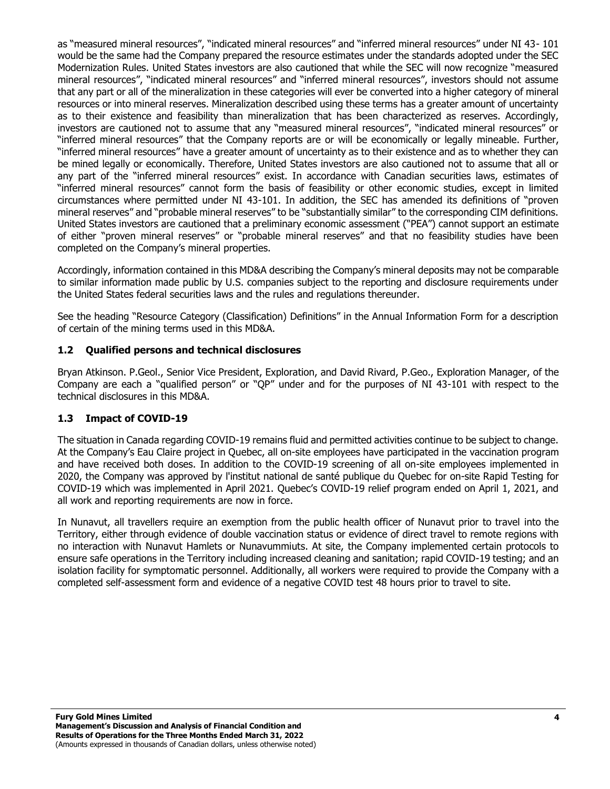as "measured mineral resources", "indicated mineral resources" and "inferred mineral resources" under NI 43- 101 would be the same had the Company prepared the resource estimates under the standards adopted under the SEC Modernization Rules. United States investors are also cautioned that while the SEC will now recognize "measured mineral resources", "indicated mineral resources" and "inferred mineral resources", investors should not assume that any part or all of the mineralization in these categories will ever be converted into a higher category of mineral resources or into mineral reserves. Mineralization described using these terms has a greater amount of uncertainty as to their existence and feasibility than mineralization that has been characterized as reserves. Accordingly, investors are cautioned not to assume that any "measured mineral resources", "indicated mineral resources" or "inferred mineral resources" that the Company reports are or will be economically or legally mineable. Further, "inferred mineral resources" have a greater amount of uncertainty as to their existence and as to whether they can be mined legally or economically. Therefore, United States investors are also cautioned not to assume that all or any part of the "inferred mineral resources" exist. In accordance with Canadian securities laws, estimates of "inferred mineral resources" cannot form the basis of feasibility or other economic studies, except in limited circumstances where permitted under NI 43-101. In addition, the SEC has amended its definitions of "proven mineral reserves" and "probable mineral reserves" to be "substantially similar" to the corresponding CIM definitions. United States investors are cautioned that a preliminary economic assessment ("PEA") cannot support an estimate of either "proven mineral reserves" or "probable mineral reserves" and that no feasibility studies have been completed on the Company's mineral properties.

Accordingly, information contained in this MD&A describing the Company's mineral deposits may not be comparable to similar information made public by U.S. companies subject to the reporting and disclosure requirements under the United States federal securities laws and the rules and regulations thereunder.

See the heading "Resource Category (Classification) Definitions" in the Annual Information Form for a description of certain of the mining terms used in this MD&A.

### **1.2 Qualified persons and technical disclosures**

Bryan Atkinson. P.Geol., Senior Vice President, Exploration, and David Rivard, P.Geo., Exploration Manager, of the Company are each a "qualified person" or "QP" under and for the purposes of NI 43-101 with respect to the technical disclosures in this MD&A.

### **1.3 Impact of COVID-19**

The situation in Canada regarding COVID-19 remains fluid and permitted activities continue to be subject to change. At the Company's Eau Claire project in Quebec, all on-site employees have participated in the vaccination program and have received both doses. In addition to the COVID-19 screening of all on-site employees implemented in 2020, the Company was approved by l'institut national de santé publique du Quebec for on-site Rapid Testing for COVID-19 which was implemented in April 2021. Quebec's COVID-19 relief program ended on April 1, 2021, and all work and reporting requirements are now in force.

In Nunavut, all travellers require an exemption from the public health officer of Nunavut prior to travel into the Territory, either through evidence of double vaccination status or evidence of direct travel to remote regions with no interaction with Nunavut Hamlets or Nunavummiuts. At site, the Company implemented certain protocols to ensure safe operations in the Territory including increased cleaning and sanitation; rapid COVID-19 testing; and an isolation facility for symptomatic personnel. Additionally, all workers were required to provide the Company with a completed self-assessment form and evidence of a negative COVID test 48 hours prior to travel to site.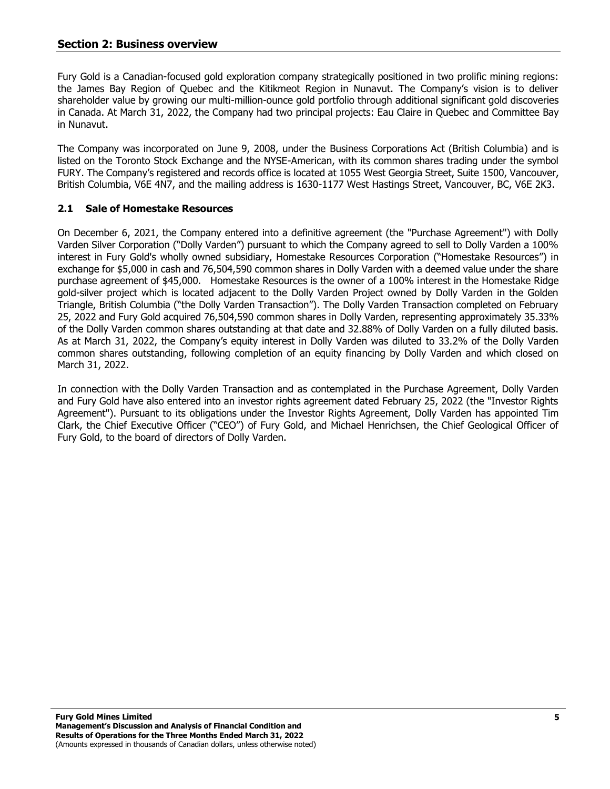# <span id="page-5-0"></span>**Section 2: Business overview**

Fury Gold is a Canadian-focused gold exploration company strategically positioned in two prolific mining regions: the James Bay Region of Quebec and the Kitikmeot Region in Nunavut. The Company's vision is to deliver shareholder value by growing our multi-million-ounce gold portfolio through additional significant gold discoveries in Canada. At March 31, 2022, the Company had two principal projects: Eau Claire in Quebec and Committee Bay in Nunavut.

The Company was incorporated on June 9, 2008, under the Business Corporations Act (British Columbia) and is listed on the Toronto Stock Exchange and the NYSE-American, with its common shares trading under the symbol FURY. The Company's registered and records office is located at 1055 West Georgia Street, Suite 1500, Vancouver, British Columbia, V6E 4N7, and the mailing address is 1630-1177 West Hastings Street, Vancouver, BC, V6E 2K3.

### **2.1 Sale of Homestake Resources**

On December 6, 2021, the Company entered into a definitive agreement (the "Purchase Agreement") with Dolly Varden Silver Corporation ("Dolly Varden") pursuant to which the Company agreed to sell to Dolly Varden a 100% interest in Fury Gold's wholly owned subsidiary, Homestake Resources Corporation ("Homestake Resources") in exchange for \$5,000 in cash and 76,504,590 common shares in Dolly Varden with a deemed value under the share purchase agreement of \$45,000. Homestake Resources is the owner of a 100% interest in the Homestake Ridge gold-silver project which is located adjacent to the Dolly Varden Project owned by Dolly Varden in the Golden Triangle, British Columbia ("the Dolly Varden Transaction"). The Dolly Varden Transaction completed on February 25, 2022 and Fury Gold acquired 76,504,590 common shares in Dolly Varden, representing approximately 35.33% of the Dolly Varden common shares outstanding at that date and 32.88% of Dolly Varden on a fully diluted basis. As at March 31, 2022, the Company's equity interest in Dolly Varden was diluted to 33.2% of the Dolly Varden common shares outstanding, following completion of an equity financing by Dolly Varden and which closed on March 31, 2022.

In connection with the Dolly Varden Transaction and as contemplated in the Purchase Agreement, Dolly Varden and Fury Gold have also entered into an investor rights agreement dated February 25, 2022 (the "Investor Rights Agreement"). Pursuant to its obligations under the Investor Rights Agreement, Dolly Varden has appointed Tim Clark, the Chief Executive Officer ("CEO") of Fury Gold, and Michael Henrichsen, the Chief Geological Officer of Fury Gold, to the board of directors of Dolly Varden.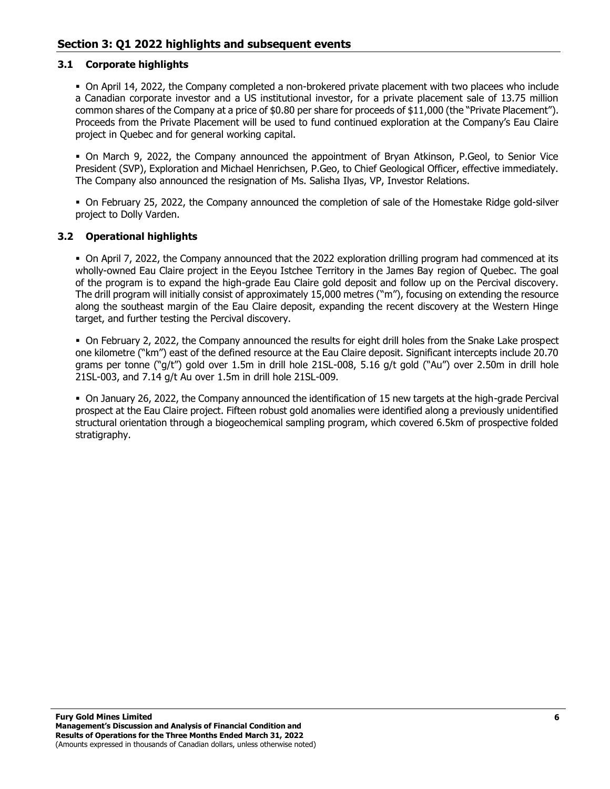## <span id="page-6-0"></span>**3.1 Corporate highlights**

• On April 14, 2022, the Company completed a non-brokered private placement with two placees who include a Canadian corporate investor and a US institutional investor, for a private placement sale of 13.75 million common shares of the Company at a price of \$0.80 per share for proceeds of \$11,000 (the "Private Placement"). Proceeds from the Private Placement will be used to fund continued exploration at the Company's Eau Claire project in Quebec and for general working capital.

▪ On March 9, 2022, the Company announced the appointment of Bryan Atkinson, P.Geol, to Senior Vice President (SVP), Exploration and Michael Henrichsen, P.Geo, to Chief Geological Officer, effective immediately. The Company also announced the resignation of Ms. Salisha Ilyas, VP, Investor Relations.

• On February 25, 2022, the Company announced the completion of sale of the Homestake Ridge gold-silver project to Dolly Varden.

### **3.2 Operational highlights**

• On April 7, 2022, the Company announced that the 2022 exploration drilling program had commenced at its wholly-owned Eau Claire project in the Eeyou Istchee Territory in the James Bay region of Quebec. The goal of the program is to expand the high-grade Eau Claire gold deposit and follow up on the Percival discovery. The drill program will initially consist of approximately 15,000 metres ("m"), focusing on extending the resource along the southeast margin of the Eau Claire deposit, expanding the recent discovery at the Western Hinge target, and further testing the Percival discovery.

▪ On February 2, 2022, the Company announced the results for eight drill holes from the Snake Lake prospect one kilometre ("km") east of the defined resource at the Eau Claire deposit. Significant intercepts include 20.70 grams per tonne ("g/t") gold over 1.5m in drill hole 21SL-008, 5.16 g/t gold ("Au") over 2.50m in drill hole 21SL-003, and 7.14 g/t Au over 1.5m in drill hole 21SL-009.

▪ On January 26, 2022, the Company announced the identification of 15 new targets at the high-grade Percival prospect at the Eau Claire project. Fifteen robust gold anomalies were identified along a previously unidentified structural orientation through a biogeochemical sampling program, which covered 6.5km of prospective folded stratigraphy.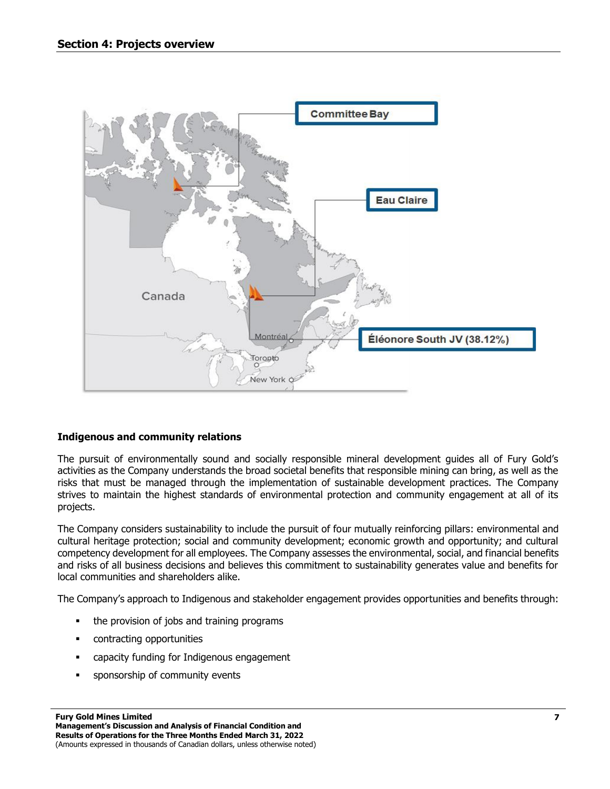<span id="page-7-0"></span>

#### **Indigenous and community relations**

The pursuit of environmentally sound and socially responsible mineral development guides all of Fury Gold's activities as the Company understands the broad societal benefits that responsible mining can bring, as well as the risks that must be managed through the implementation of sustainable development practices. The Company strives to maintain the highest standards of environmental protection and community engagement at all of its projects.

The Company considers sustainability to include the pursuit of four mutually reinforcing pillars: environmental and cultural heritage protection; social and community development; economic growth and opportunity; and cultural competency development for all employees. The Company assesses the environmental, social, and financial benefits and risks of all business decisions and believes this commitment to sustainability generates value and benefits for local communities and shareholders alike.

The Company's approach to Indigenous and stakeholder engagement provides opportunities and benefits through:

- the provision of jobs and training programs
- contracting opportunities
- capacity funding for Indigenous engagement
- sponsorship of community events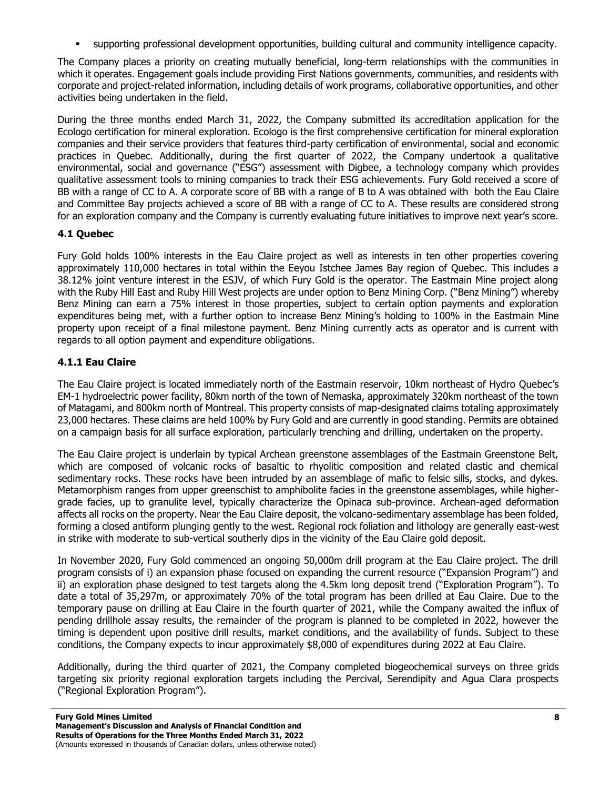▪ supporting professional development opportunities, building cultural and community intelligence capacity.

The Company places a priority on creating mutually beneficial, long-term relationships with the communities in which it operates. Engagement goals include providing First Nations governments, communities, and residents with corporate and project-related information, including details of work programs, collaborative opportunities, and other activities being undertaken in the field.

During the three months ended March 31, 2022, the Company submitted its accreditation application for the Ecologo certification for mineral exploration. Ecologo is the first comprehensive certification for mineral exploration companies and their service providers that features third-party certification of environmental, social and economic practices in Quebec. Additionally, during the first quarter of 2022, the Company undertook a qualitative environmental, social and governance ("ESG") assessment with Digbee, a technology company which provides qualitative assessment tools to mining companies to track their ESG achievements. Fury Gold received a score of BB with a range of CC to A. A corporate score of BB with a range of B to A was obtained with both the Eau Claire and Committee Bay projects achieved a score of BB with a range of CC to A. These results are considered strong for an exploration company and the Company is currently evaluating future initiatives to improve next year's score.

### **4.1 Quebec**

Fury Gold holds 100% interests in the Eau Claire project as well as interests in ten other properties covering approximately 110,000 hectares in total within the Eeyou Istchee James Bay region of Quebec. This includes a 38.12% joint venture interest in the ESJV, of which Fury Gold is the operator. The Eastmain Mine project along with the Ruby Hill East and Ruby Hill West projects are under option to Benz Mining Corp. ("Benz Mining") whereby Benz Mining can earn a 75% interest in those properties, subject to certain option payments and exploration expenditures being met, with a further option to increase Benz Mining's holding to 100% in the Eastmain Mine property upon receipt of a final milestone payment. Benz Mining currently acts as operator and is current with regards to all option payment and expenditure obligations.

### **4.1.1 Eau Claire**

The Eau Claire project is located immediately north of the Eastmain reservoir, 10km northeast of Hydro Quebec's EM-1 hydroelectric power facility, 80km north of the town of Nemaska, approximately 320km northeast of the town of Matagami, and 800km north of Montreal. This property consists of map-designated claims totaling approximately 23,000 hectares. These claims are held 100% by Fury Gold and are currently in good standing. Permits are obtained on a campaign basis for all surface exploration, particularly trenching and drilling, undertaken on the property.

The Eau Claire project is underlain by typical Archean greenstone assemblages of the Eastmain Greenstone Belt, which are composed of volcanic rocks of basaltic to rhyolitic composition and related clastic and chemical sedimentary rocks. These rocks have been intruded by an assemblage of mafic to felsic sills, stocks, and dykes. Metamorphism ranges from upper greenschist to amphibolite facies in the greenstone assemblages, while highergrade facies, up to granulite level, typically characterize the Opinaca sub-province. Archean-aged deformation affects all rocks on the property. Near the Eau Claire deposit, the volcano-sedimentary assemblage has been folded, forming a closed antiform plunging gently to the west. Regional rock foliation and lithology are generally east-west in strike with moderate to sub-vertical southerly dips in the vicinity of the Eau Claire gold deposit.

In November 2020, Fury Gold commenced an ongoing 50,000m drill program at the Eau Claire project. The drill program consists of i) an expansion phase focused on expanding the current resource ("Expansion Program") and ii) an exploration phase designed to test targets along the 4.5km long deposit trend ("Exploration Program"). To date a total of 35,297m, or approximately 70% of the total program has been drilled at Eau Claire. Due to the temporary pause on drilling at Eau Claire in the fourth quarter of 2021, while the Company awaited the influx of pending drillhole assay results, the remainder of the program is planned to be completed in 2022, however the timing is dependent upon positive drill results, market conditions, and the availability of funds. Subject to these conditions, the Company expects to incur approximately \$8,000 of expenditures during 2022 at Eau Claire.

Additionally, during the third quarter of 2021, the Company completed biogeochemical surveys on three grids targeting six priority regional exploration targets including the Percival, Serendipity and Agua Clara prospects ("Regional Exploration Program").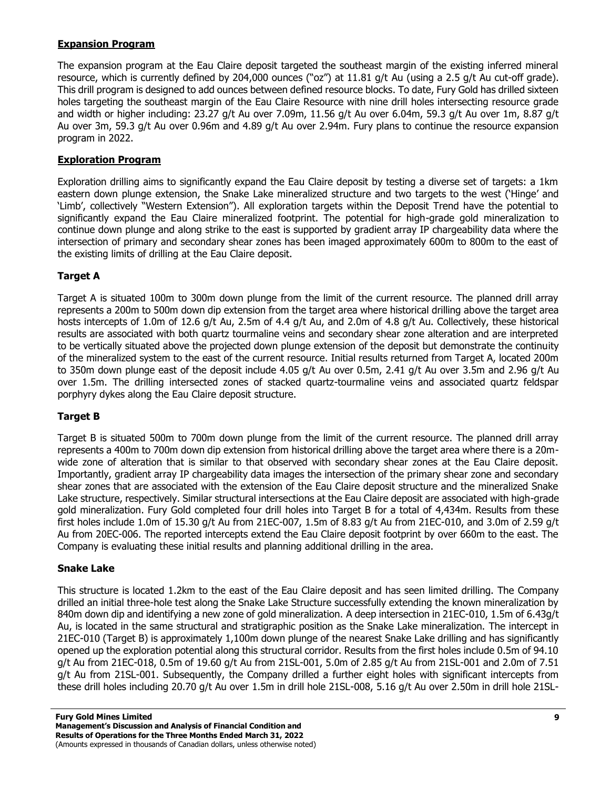# **Expansion Program**

The expansion program at the Eau Claire deposit targeted the southeast margin of the existing inferred mineral resource, which is currently defined by 204,000 ounces ("oz") at 11.81 g/t Au (using a 2.5 g/t Au cut-off grade). This drill program is designed to add ounces between defined resource blocks. To date, Fury Gold has drilled sixteen holes targeting the southeast margin of the Eau Claire Resource with nine drill holes intersecting resource grade and width or higher including: 23.27 g/t Au over 7.09m, 11.56 g/t Au over 6.04m, 59.3 g/t Au over 1m, 8.87 g/t Au over 3m, 59.3 g/t Au over 0.96m and 4.89 g/t Au over 2.94m. Fury plans to continue the resource expansion program in 2022.

### **Exploration Program**

Exploration drilling aims to significantly expand the Eau Claire deposit by testing a diverse set of targets: a 1km eastern down plunge extension, the Snake Lake mineralized structure and two targets to the west ('Hinge' and 'Limb', collectively "Western Extension"). All exploration targets within the Deposit Trend have the potential to significantly expand the Eau Claire mineralized footprint. The potential for high-grade gold mineralization to continue down plunge and along strike to the east is supported by gradient array IP chargeability data where the intersection of primary and secondary shear zones has been imaged approximately 600m to 800m to the east of the existing limits of drilling at the Eau Claire deposit.

### **Target A**

Target A is situated 100m to 300m down plunge from the limit of the current resource. The planned drill array represents a 200m to 500m down dip extension from the target area where historical drilling above the target area hosts intercepts of 1.0m of 12.6 g/t Au, 2.5m of 4.4 g/t Au, and 2.0m of 4.8 g/t Au. Collectively, these historical results are associated with both quartz tourmaline veins and secondary shear zone alteration and are interpreted to be vertically situated above the projected down plunge extension of the deposit but demonstrate the continuity of the mineralized system to the east of the current resource. Initial results returned from Target A, located 200m to 350m down plunge east of the deposit include 4.05 g/t Au over 0.5m, 2.41 g/t Au over 3.5m and 2.96 g/t Au over 1.5m. The drilling intersected zones of stacked quartz-tourmaline veins and associated quartz feldspar porphyry dykes along the Eau Claire deposit structure.

# **Target B**

Target B is situated 500m to 700m down plunge from the limit of the current resource. The planned drill array represents a 400m to 700m down dip extension from historical drilling above the target area where there is a 20mwide zone of alteration that is similar to that observed with secondary shear zones at the Eau Claire deposit. Importantly, gradient array IP chargeability data images the intersection of the primary shear zone and secondary shear zones that are associated with the extension of the Eau Claire deposit structure and the mineralized Snake Lake structure, respectively. Similar structural intersections at the Eau Claire deposit are associated with high-grade gold mineralization. Fury Gold completed four drill holes into Target B for a total of 4,434m. Results from these first holes include 1.0m of 15.30 g/t Au from 21EC-007, 1.5m of 8.83 g/t Au from 21EC-010, and 3.0m of 2.59 g/t Au from 20EC-006. The reported intercepts extend the Eau Claire deposit footprint by over 660m to the east. The Company is evaluating these initial results and planning additional drilling in the area.

### **Snake Lake**

This structure is located 1.2km to the east of the Eau Claire deposit and has seen limited drilling. The Company drilled an initial three-hole test along the Snake Lake Structure successfully extending the known mineralization by 840m down dip and identifying a new zone of gold mineralization. A deep intersection in 21EC-010, 1.5m of 6.43g/t Au, is located in the same structural and stratigraphic position as the Snake Lake mineralization. The intercept in 21EC-010 (Target B) is approximately 1,100m down plunge of the nearest Snake Lake drilling and has significantly opened up the exploration potential along this structural corridor. Results from the first holes include 0.5m of 94.10 g/t Au from 21EC-018, 0.5m of 19.60 g/t Au from 21SL-001, 5.0m of 2.85 g/t Au from 21SL-001 and 2.0m of 7.51 g/t Au from 21SL-001. Subsequently, the Company drilled a further eight holes with significant intercepts from these drill holes including 20.70 g/t Au over 1.5m in drill hole 21SL-008, 5.16 g/t Au over 2.50m in drill hole 21SL-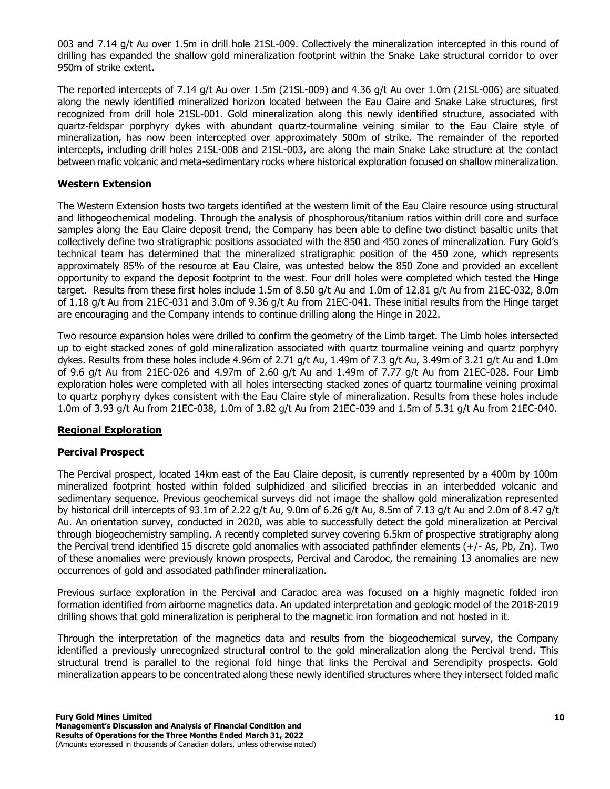003 and 7.14 g/t Au over 1.5m in drill hole 21SL-009. Collectively the mineralization intercepted in this round of drilling has expanded the shallow gold mineralization footprint within the Snake Lake structural corridor to over 950m of strike extent.

The reported intercepts of 7.14 g/t Au over 1.5m (21SL-009) and 4.36 g/t Au over 1.0m (21SL-006) are situated along the newly identified mineralized horizon located between the Eau Claire and Snake Lake structures, first recognized from drill hole 21SL-001. Gold mineralization along this newly identified structure, associated with quartz-feldspar porphyry dykes with abundant quartz-tourmaline veining similar to the Eau Claire style of mineralization, has now been intercepted over approximately 500m of strike. The remainder of the reported intercepts, including drill holes 21SL-008 and 21SL-003, are along the main Snake Lake structure at the contact between mafic volcanic and meta-sedimentary rocks where historical exploration focused on shallow mineralization.

### **Western Extension**

The Western Extension hosts two targets identified at the western limit of the Eau Claire resource using structural and lithogeochemical modeling. Through the analysis of phosphorous/titanium ratios within drill core and surface samples along the Eau Claire deposit trend, the Company has been able to define two distinct basaltic units that collectively define two stratigraphic positions associated with the 850 and 450 zones of mineralization. Fury Gold's technical team has determined that the mineralized stratigraphic position of the 450 zone, which represents approximately 85% of the resource at Eau Claire, was untested below the 850 Zone and provided an excellent opportunity to expand the deposit footprint to the west. Four drill holes were completed which tested the Hinge target. Results from these first holes include 1.5m of 8.50 g/t Au and 1.0m of 12.81 g/t Au from 21EC-032, 8.0m of 1.18 g/t Au from 21EC-031 and 3.0m of 9.36 g/t Au from 21EC-041. These initial results from the Hinge target are encouraging and the Company intends to continue drilling along the Hinge in 2022.

Two resource expansion holes were drilled to confirm the geometry of the Limb target. The Limb holes intersected up to eight stacked zones of gold mineralization associated with quartz tourmaline veining and quartz porphyry dykes. Results from these holes include 4.96m of 2.71 g/t Au, 1.49m of 7.3 g/t Au, 3.49m of 3.21 g/t Au and 1.0m of 9.6 g/t Au from 21EC-026 and 4.97m of 2.60 g/t Au and 1.49m of 7.77 g/t Au from 21EC-028. Four Limb exploration holes were completed with all holes intersecting stacked zones of quartz tourmaline veining proximal to quartz porphyry dykes consistent with the Eau Claire style of mineralization. Results from these holes include 1.0m of 3.93 g/t Au from 21EC-038, 1.0m of 3.82 g/t Au from 21EC-039 and 1.5m of 5.31 g/t Au from 21EC-040.

# **Regional Exploration**

# **Percival Prospect**

The Percival prospect, located 14km east of the Eau Claire deposit, is currently represented by a 400m by 100m mineralized footprint hosted within folded sulphidized and silicified breccias in an interbedded volcanic and sedimentary sequence. Previous geochemical surveys did not image the shallow gold mineralization represented by historical drill intercepts of 93.1m of 2.22 g/t Au, 9.0m of 6.26 g/t Au, 8.5m of 7.13 g/t Au and 2.0m of 8.47 g/t Au. An orientation survey, conducted in 2020, was able to successfully detect the gold mineralization at Percival through biogeochemistry sampling. A recently completed survey covering 6.5km of prospective stratigraphy along the Percival trend identified 15 discrete gold anomalies with associated pathfinder elements (+/- As, Pb, Zn). Two of these anomalies were previously known prospects, Percival and Carodoc, the remaining 13 anomalies are new occurrences of gold and associated pathfinder mineralization.

Previous surface exploration in the Percival and Caradoc area was focused on a highly magnetic folded iron formation identified from airborne magnetics data. An updated interpretation and geologic model of the 2018-2019 drilling shows that gold mineralization is peripheral to the magnetic iron formation and not hosted in it.

Through the interpretation of the magnetics data and results from the biogeochemical survey, the Company identified a previously unrecognized structural control to the gold mineralization along the Percival trend. This structural trend is parallel to the regional fold hinge that links the Percival and Serendipity prospects. Gold mineralization appears to be concentrated along these newly identified structures where they intersect folded mafic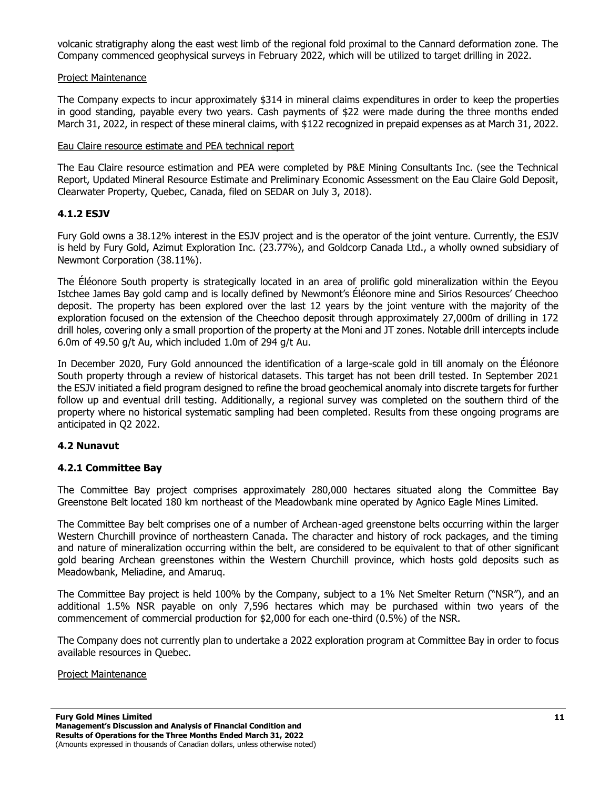volcanic stratigraphy along the east west limb of the regional fold proximal to the Cannard deformation zone. The Company commenced geophysical surveys in February 2022, which will be utilized to target drilling in 2022.

#### Project Maintenance

The Company expects to incur approximately \$314 in mineral claims expenditures in order to keep the properties in good standing, payable every two years. Cash payments of \$22 were made during the three months ended March 31, 2022, in respect of these mineral claims, with \$122 recognized in prepaid expenses as at March 31, 2022.

#### Eau Claire resource estimate and PEA technical report

The Eau Claire resource estimation and PEA were completed by P&E Mining Consultants Inc. (see the Technical Report, Updated Mineral Resource Estimate and Preliminary Economic Assessment on the Eau Claire Gold Deposit, Clearwater Property, Quebec, Canada, filed on SEDAR on July 3, 2018).

### **4.1.2 ESJV**

Fury Gold owns a 38.12% interest in the ESJV project and is the operator of the joint venture. Currently, the ESJV is held by Fury Gold, Azimut Exploration Inc. (23.77%), and Goldcorp Canada Ltd., a wholly owned subsidiary of Newmont Corporation (38.11%).

The Éléonore South property is strategically located in an area of prolific gold mineralization within the Eeyou Istchee James Bay gold camp and is locally defined by Newmont's Éléonore mine and Sirios Resources' Cheechoo deposit. The property has been explored over the last 12 years by the joint venture with the majority of the exploration focused on the extension of the Cheechoo deposit through approximately 27,000m of drilling in 172 drill holes, covering only a small proportion of the property at the Moni and JT zones. Notable drill intercepts include 6.0m of 49.50 g/t Au, which included 1.0m of 294 g/t Au.

In December 2020, Fury Gold announced the identification of a large-scale gold in till anomaly on the Éléonore South property through a review of historical datasets. This target has not been drill tested. In September 2021 the ESJV initiated a field program designed to refine the broad geochemical anomaly into discrete targets for further follow up and eventual drill testing. Additionally, a regional survey was completed on the southern third of the property where no historical systematic sampling had been completed. Results from these ongoing programs are anticipated in Q2 2022.

### **4.2 Nunavut**

### **4.2.1 Committee Bay**

The Committee Bay project comprises approximately 280,000 hectares situated along the Committee Bay Greenstone Belt located 180 km northeast of the Meadowbank mine operated by Agnico Eagle Mines Limited.

The Committee Bay belt comprises one of a number of Archean-aged greenstone belts occurring within the larger Western Churchill province of northeastern Canada. The character and history of rock packages, and the timing and nature of mineralization occurring within the belt, are considered to be equivalent to that of other significant gold bearing Archean greenstones within the Western Churchill province, which hosts gold deposits such as Meadowbank, Meliadine, and Amaruq.

The Committee Bay project is held 100% by the Company, subject to a 1% Net Smelter Return ("NSR"), and an additional 1.5% NSR payable on only 7,596 hectares which may be purchased within two years of the commencement of commercial production for \$2,000 for each one-third (0.5%) of the NSR.

The Company does not currently plan to undertake a 2022 exploration program at Committee Bay in order to focus available resources in Quebec.

Project Maintenance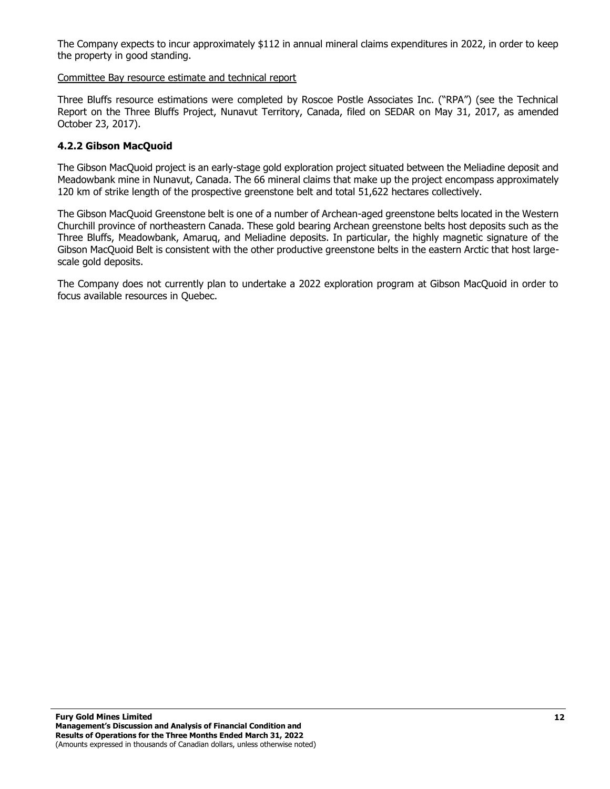The Company expects to incur approximately \$112 in annual mineral claims expenditures in 2022, in order to keep the property in good standing.

### Committee Bay resource estimate and technical report

Three Bluffs resource estimations were completed by Roscoe Postle Associates Inc. ("RPA") (see the Technical Report on the Three Bluffs Project, Nunavut Territory, Canada, filed on SEDAR on May 31, 2017, as amended October 23, 2017).

# **4.2.2 Gibson MacQuoid**

The Gibson MacQuoid project is an early-stage gold exploration project situated between the Meliadine deposit and Meadowbank mine in Nunavut, Canada. The 66 mineral claims that make up the project encompass approximately 120 km of strike length of the prospective greenstone belt and total 51,622 hectares collectively.

The Gibson MacQuoid Greenstone belt is one of a number of Archean-aged greenstone belts located in the Western Churchill province of northeastern Canada. These gold bearing Archean greenstone belts host deposits such as the Three Bluffs, Meadowbank, Amaruq, and Meliadine deposits. In particular, the highly magnetic signature of the Gibson MacQuoid Belt is consistent with the other productive greenstone belts in the eastern Arctic that host largescale gold deposits.

The Company does not currently plan to undertake a 2022 exploration program at Gibson MacQuoid in order to focus available resources in Quebec.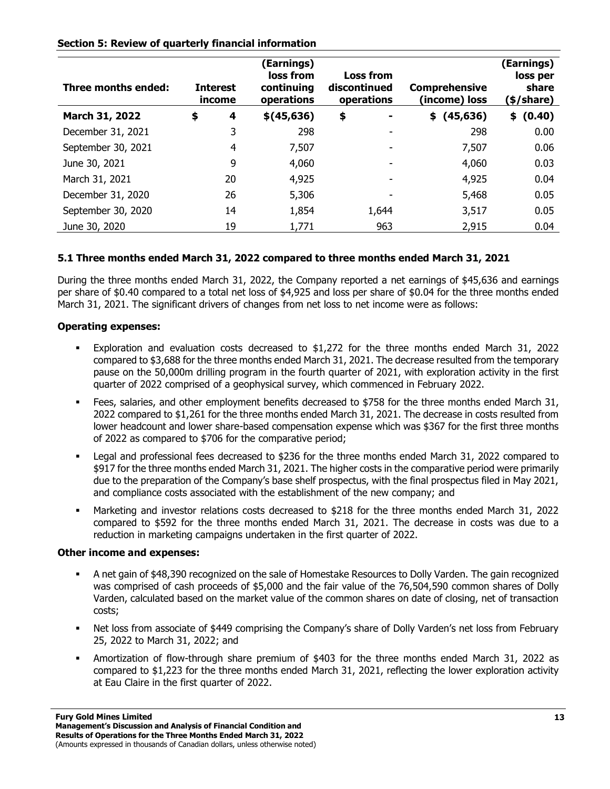### <span id="page-13-0"></span>**Section 5: Review of quarterly financial information**

| Three months ended: | <b>Interest</b><br>income |                | (Earnings)<br>loss from<br>continuing<br>operations | <b>Loss from</b><br>discontinued<br>operations | <b>Comprehensive</b><br>(income) loss | (Earnings)<br>loss per<br>share<br>(\$/share) |
|---------------------|---------------------------|----------------|-----------------------------------------------------|------------------------------------------------|---------------------------------------|-----------------------------------------------|
| March 31, 2022      | \$                        | 4              | $$$ (45,636)                                        | \$                                             | (45, 636)<br>\$                       | (0.40)<br>\$                                  |
| December 31, 2021   |                           | 3              | 298                                                 |                                                | 298                                   | 0.00                                          |
| September 30, 2021  |                           | $\overline{4}$ | 7,507                                               |                                                | 7,507                                 | 0.06                                          |
| June 30, 2021       |                           | 9              | 4,060                                               |                                                | 4,060                                 | 0.03                                          |
| March 31, 2021      |                           | 20             | 4,925                                               |                                                | 4,925                                 | 0.04                                          |
| December 31, 2020   |                           | 26             | 5,306                                               |                                                | 5,468                                 | 0.05                                          |
| September 30, 2020  |                           | 14             | 1,854                                               | 1,644                                          | 3,517                                 | 0.05                                          |
| June 30, 2020       |                           | 19             | 1,771                                               | 963                                            | 2,915                                 | 0.04                                          |

# **5.1 Three months ended March 31, 2022 compared to three months ended March 31, 2021**

During the three months ended March 31, 2022, the Company reported a net earnings of \$45,636 and earnings per share of \$0.40 compared to a total net loss of \$4,925 and loss per share of \$0.04 for the three months ended March 31, 2021. The significant drivers of changes from net loss to net income were as follows:

### **Operating expenses:**

- Exploration and evaluation costs decreased to \$1,272 for the three months ended March 31, 2022 compared to \$3,688 for the three months ended March 31, 2021. The decrease resulted from the temporary pause on the 50,000m drilling program in the fourth quarter of 2021, with exploration activity in the first quarter of 2022 comprised of a geophysical survey, which commenced in February 2022.
- **EXECT:** Fees, salaries, and other employment benefits decreased to \$758 for the three months ended March 31, 2022 compared to \$1,261 for the three months ended March 31, 2021. The decrease in costs resulted from lower headcount and lower share-based compensation expense which was \$367 for the first three months of 2022 as compared to \$706 for the comparative period;
- Legal and professional fees decreased to \$236 for the three months ended March 31, 2022 compared to \$917 for the three months ended March 31, 2021. The higher costs in the comparative period were primarily due to the preparation of the Company's base shelf prospectus, with the final prospectus filed in May 2021, and compliance costs associated with the establishment of the new company; and
- Marketing and investor relations costs decreased to \$218 for the three months ended March 31, 2022 compared to \$592 for the three months ended March 31, 2021. The decrease in costs was due to a reduction in marketing campaigns undertaken in the first quarter of 2022.

### **Other income and expenses:**

- A net gain of \$48,390 recognized on the sale of Homestake Resources to Dolly Varden. The gain recognized was comprised of cash proceeds of \$5,000 and the fair value of the 76,504,590 common shares of Dolly Varden, calculated based on the market value of the common shares on date of closing, net of transaction costs;
- Net loss from associate of \$449 comprising the Company's share of Dolly Varden's net loss from February 25, 2022 to March 31, 2022; and
- Amortization of flow-through share premium of \$403 for the three months ended March 31, 2022 as compared to \$1,223 for the three months ended March 31, 2021, reflecting the lower exploration activity at Eau Claire in the first quarter of 2022.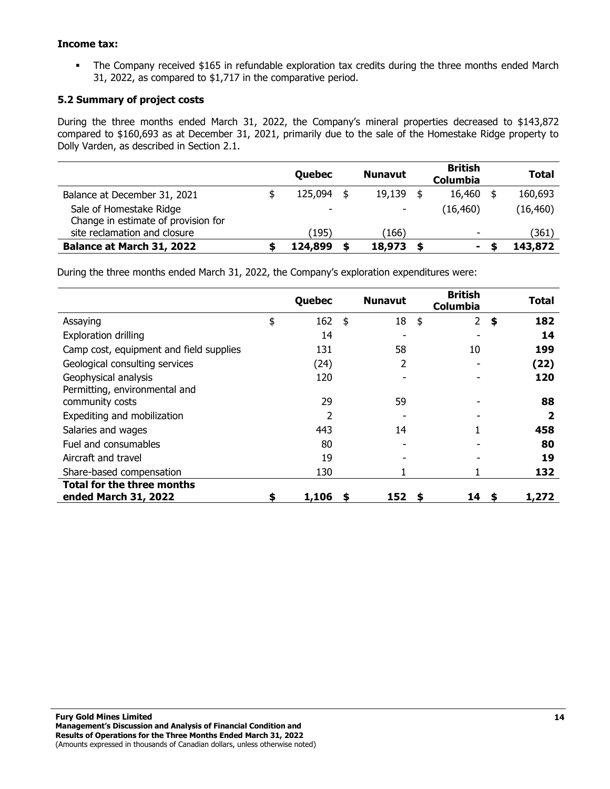### **Income tax:**

**•** The Company received \$165 in refundable exploration tax credits during the three months ended March 31, 2022, as compared to \$1,717 in the comparative period.

### **5.2 Summary of project costs**

During the three months ended March 31, 2022, the Company's mineral properties decreased to \$143,872 compared to \$160,693 as at December 31, 2021, primarily due to the sale of the Homestake Ridge property to Dolly Varden, as described in Section 2.1.

|                                                                | Quebec  |      | <b>Nunavut</b> |      | <b>British</b><br><b>Columbia</b> | Total    |
|----------------------------------------------------------------|---------|------|----------------|------|-----------------------------------|----------|
| Balance at December 31, 2021                                   | 125,094 | - \$ | 19,139         | - \$ | 16,460                            | 160,693  |
| Sale of Homestake Ridge<br>Change in estimate of provision for | -       |      | ۰              |      | (16, 460)                         | (16,460) |
| site reclamation and closure                                   | (195)   |      | 166)           |      | $\overline{\phantom{0}}$          | (361)    |
| Balance at March 31, 2022                                      | 124,899 |      | 18,973         | - 95 | ۰                                 | 143,872  |

During the three months ended March 31, 2022, the Company's exploration expenditures were:

|                                         | Quebec    | <b>Nunavut</b> |               | <b>British</b><br><b>Columbia</b> | <b>Total</b> |
|-----------------------------------------|-----------|----------------|---------------|-----------------------------------|--------------|
| Assaying                                | \$<br>162 | \$<br>18       | $\frac{1}{2}$ | $\overline{2}$                    | \$<br>182    |
| <b>Exploration drilling</b>             | 14        |                |               |                                   | 14           |
| Camp cost, equipment and field supplies | 131       | 58             |               | 10                                | 199          |
| Geological consulting services          | (24)      | 2              |               |                                   | (22)         |
| Geophysical analysis                    | 120       |                |               |                                   | 120          |
| Permitting, environmental and           |           |                |               |                                   |              |
| community costs                         | 29        | 59             |               |                                   | 88           |
| Expediting and mobilization             | 2         |                |               |                                   | 2            |
| Salaries and wages                      | 443       | 14             |               |                                   | 458          |
| Fuel and consumables                    | 80        |                |               |                                   | 80           |
| Aircraft and travel                     | 19        |                |               |                                   | 19           |
| Share-based compensation                | 130       |                |               |                                   | 132          |
| <b>Total for the three months</b>       |           |                |               |                                   |              |
| ended March 31, 2022                    | 1,106     | 152            |               | 14                                | 1,272        |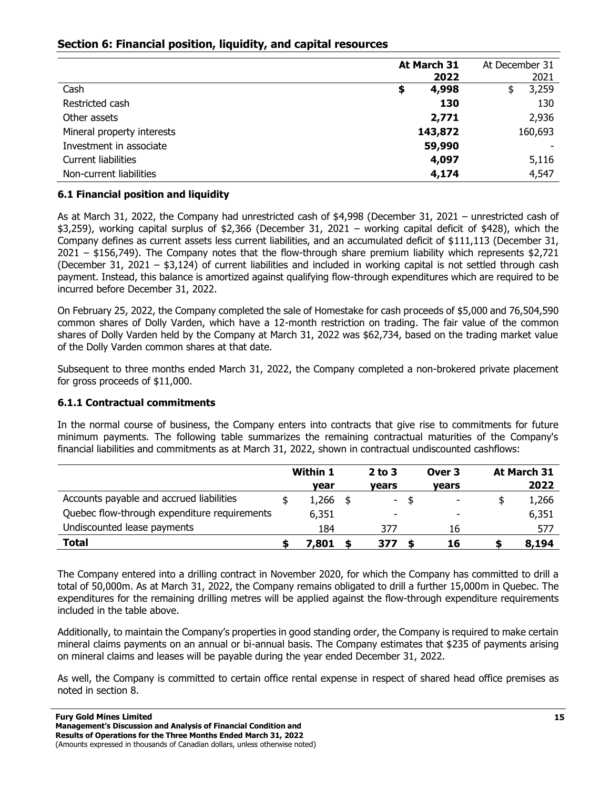# <span id="page-15-0"></span>**Section 6: Financial position, liquidity, and capital resources**

|                            | At March 31 |         |    | At December 31 |  |
|----------------------------|-------------|---------|----|----------------|--|
|                            |             | 2022    |    | 2021           |  |
| Cash                       | S           | 4,998   | \$ | 3,259          |  |
| Restricted cash            |             | 130     |    | 130            |  |
| Other assets               |             | 2,771   |    | 2,936          |  |
| Mineral property interests |             | 143,872 |    | 160,693        |  |
| Investment in associate    |             | 59,990  |    |                |  |
| <b>Current liabilities</b> |             | 4,097   |    | 5,116          |  |
| Non-current liabilities    |             | 4,174   |    | 4,547          |  |

### **6.1 Financial position and liquidity**

As at March 31, 2022, the Company had unrestricted cash of \$4,998 (December 31, 2021 – unrestricted cash of \$3,259), working capital surplus of \$2,366 (December 31, 2021 – working capital deficit of \$428), which the Company defines as current assets less current liabilities, and an accumulated deficit of \$111,113 (December 31, 2021 – \$156,749). The Company notes that the flow-through share premium liability which represents \$2,721 (December 31, 2021 – \$3,124) of current liabilities and included in working capital is not settled through cash payment. Instead, this balance is amortized against qualifying flow-through expenditures which are required to be incurred before December 31, 2022.

On February 25, 2022, the Company completed the sale of Homestake for cash proceeds of \$5,000 and 76,504,590 common shares of Dolly Varden, which have a 12-month restriction on trading. The fair value of the common shares of Dolly Varden held by the Company at March 31, 2022 was \$62,734, based on the trading market value of the Dolly Varden common shares at that date.

Subsequent to three months ended March 31, 2022, the Company completed a non-brokered private placement for gross proceeds of \$11,000.

### **6.1.1 Contractual commitments**

In the normal course of business, the Company enters into contracts that give rise to commitments for future minimum payments. The following table summarizes the remaining contractual maturities of the Company's financial liabilities and commitments as at March 31, 2022, shown in contractual undiscounted cashflows:

|                                              | Within 1 |       | $2$ to $3$ |      | Over 3 | At March 31 |
|----------------------------------------------|----------|-------|------------|------|--------|-------------|
|                                              |          | year  | vears      |      | vears  | 2022        |
| Accounts payable and accrued liabilities     |          | 1,266 | $\sim$     | - \$ | ٠      | 1,266       |
| Quebec flow-through expenditure requirements |          | 6,351 | ۰          |      | -      | 6,351       |
| Undiscounted lease payments                  |          | 184   | 377        |      | 16     | 577         |
| Total                                        |          | 7.801 | 377        |      | 16     | 8,194       |

The Company entered into a drilling contract in November 2020, for which the Company has committed to drill a total of 50,000m. As at March 31, 2022, the Company remains obligated to drill a further 15,000m in Quebec. The expenditures for the remaining drilling metres will be applied against the flow-through expenditure requirements included in the table above.

Additionally, to maintain the Company's properties in good standing order, the Company is required to make certain mineral claims payments on an annual or bi-annual basis. The Company estimates that \$235 of payments arising on mineral claims and leases will be payable during the year ended December 31, 2022.

As well, the Company is committed to certain office rental expense in respect of shared head office premises as noted in section 8.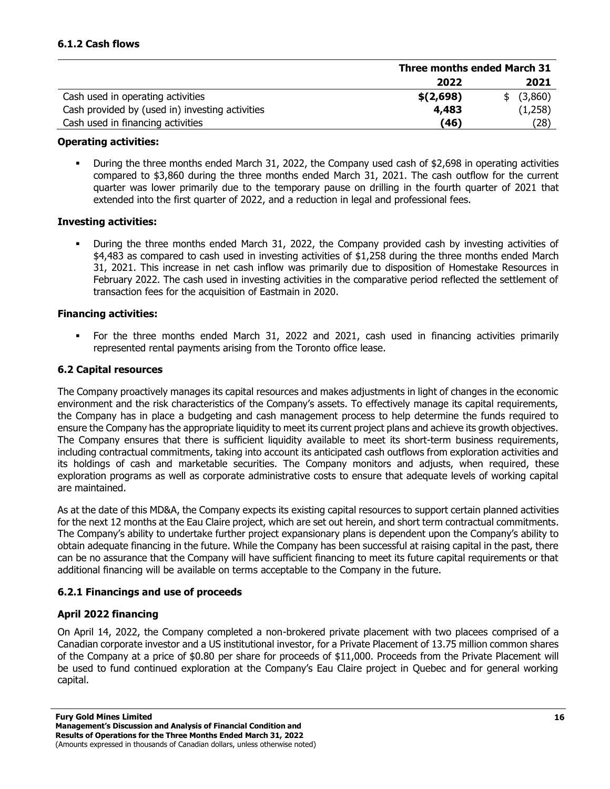|                                                 | Three months ended March 31 |            |  |  |  |
|-------------------------------------------------|-----------------------------|------------|--|--|--|
|                                                 | 2022                        | 2021       |  |  |  |
| Cash used in operating activities               | \$(2,698)                   | \$ (3,860) |  |  |  |
| Cash provided by (used in) investing activities | 4,483                       | (1,258)    |  |  |  |
| Cash used in financing activities               | (46)                        | (28)       |  |  |  |

### **Operating activities:**

▪ During the three months ended March 31, 2022, the Company used cash of \$2,698 in operating activities compared to \$3,860 during the three months ended March 31, 2021. The cash outflow for the current quarter was lower primarily due to the temporary pause on drilling in the fourth quarter of 2021 that extended into the first quarter of 2022, and a reduction in legal and professional fees.

### **Investing activities:**

▪ During the three months ended March 31, 2022, the Company provided cash by investing activities of \$4,483 as compared to cash used in investing activities of \$1,258 during the three months ended March 31, 2021. This increase in net cash inflow was primarily due to disposition of Homestake Resources in February 2022. The cash used in investing activities in the comparative period reflected the settlement of transaction fees for the acquisition of Eastmain in 2020.

### **Financing activities:**

▪ For the three months ended March 31, 2022 and 2021, cash used in financing activities primarily represented rental payments arising from the Toronto office lease.

### **6.2 Capital resources**

The Company proactively manages its capital resources and makes adjustments in light of changes in the economic environment and the risk characteristics of the Company's assets. To effectively manage its capital requirements, the Company has in place a budgeting and cash management process to help determine the funds required to ensure the Company has the appropriate liquidity to meet its current project plans and achieve its growth objectives. The Company ensures that there is sufficient liquidity available to meet its short-term business requirements, including contractual commitments, taking into account its anticipated cash outflows from exploration activities and its holdings of cash and marketable securities. The Company monitors and adjusts, when required, these exploration programs as well as corporate administrative costs to ensure that adequate levels of working capital are maintained.

As at the date of this MD&A, the Company expects its existing capital resources to support certain planned activities for the next 12 months at the Eau Claire project, which are set out herein, and short term contractual commitments. The Company's ability to undertake further project expansionary plans is dependent upon the Company's ability to obtain adequate financing in the future. While the Company has been successful at raising capital in the past, there can be no assurance that the Company will have sufficient financing to meet its future capital requirements or that additional financing will be available on terms acceptable to the Company in the future.

# **6.2.1 Financings and use of proceeds**

# **April 2022 financing**

On April 14, 2022, the Company completed a non-brokered private placement with two placees comprised of a Canadian corporate investor and a US institutional investor, for a Private Placement of 13.75 million common shares of the Company at a price of \$0.80 per share for proceeds of \$11,000. Proceeds from the Private Placement will be used to fund continued exploration at the Company's Eau Claire project in Quebec and for general working capital.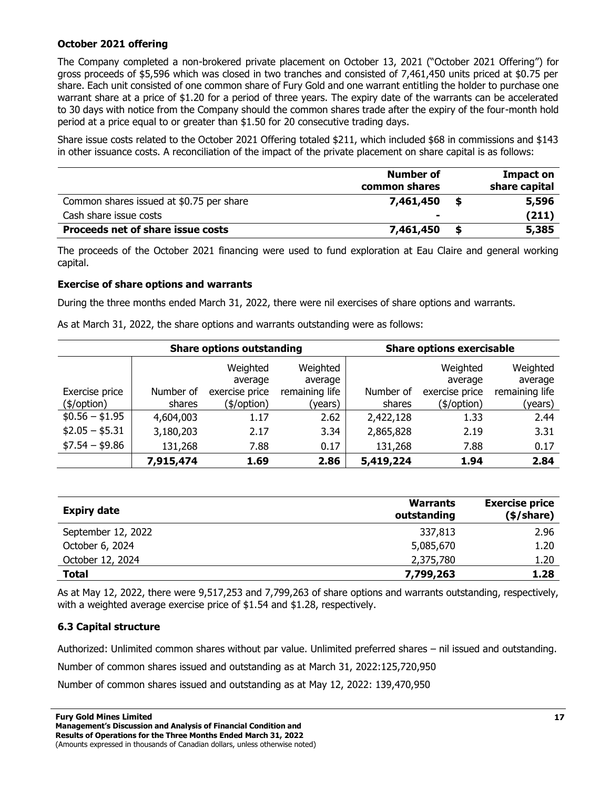# **October 2021 offering**

The Company completed a non-brokered private placement on October 13, 2021 ("October 2021 Offering") for gross proceeds of \$5,596 which was closed in two tranches and consisted of 7,461,450 units priced at \$0.75 per share. Each unit consisted of one common share of Fury Gold and one warrant entitling the holder to purchase one warrant share at a price of \$1.20 for a period of three years. The expiry date of the warrants can be accelerated to 30 days with notice from the Company should the common shares trade after the expiry of the four-month hold period at a price equal to or greater than \$1.50 for 20 consecutive trading days.

Share issue costs related to the October 2021 Offering totaled \$211, which included \$68 in commissions and \$143 in other issuance costs. A reconciliation of the impact of the private placement on share capital is as follows:

|                                          | Number of<br>common shares | Impact on<br>share capital |
|------------------------------------------|----------------------------|----------------------------|
| Common shares issued at \$0.75 per share | 7,461,450                  | 5,596                      |
| Cash share issue costs                   | $\overline{\phantom{0}}$   | (211)                      |
| Proceeds net of share issue costs        | 7,461,450                  | 5,385                      |

The proceeds of the October 2021 financing were used to fund exploration at Eau Claire and general working capital.

### **Exercise of share options and warrants**

During the three months ended March 31, 2022, there were nil exercises of share options and warrants.

As at March 31, 2022, the share options and warrants outstanding were as follows:

|                 |           | <b>Share options outstanding</b> |                |           | <b>Share options exercisable</b> |                |
|-----------------|-----------|----------------------------------|----------------|-----------|----------------------------------|----------------|
|                 |           | Weighted                         | Weighted       |           | Weighted                         | Weighted       |
|                 |           | average                          | average        |           | average                          | average        |
| Exercise price  | Number of | exercise price                   | remaining life | Number of | exercise price                   | remaining life |
| (\$/option)     | shares    | (\$/option)                      | (years)        | shares    | (\$/option)                      | (years)        |
| $$0.56 - $1.95$ | 4,604,003 | 1.17                             | 2.62           | 2,422,128 | 1.33                             | 2.44           |
| $$2.05 - $5.31$ | 3,180,203 | 2.17                             | 3.34           | 2,865,828 | 2.19                             | 3.31           |
| $$7.54 - $9.86$ | 131,268   | 7.88                             | 0.17           | 131,268   | 7.88                             | 0.17           |
|                 | 7,915,474 | 1.69                             | 2.86           | 5,419,224 | 1.94                             | 2.84           |

| <b>Expiry date</b> | <b>Warrants</b><br>outstanding | <b>Exercise price</b><br>(\$/share) |  |  |
|--------------------|--------------------------------|-------------------------------------|--|--|
| September 12, 2022 | 337,813                        | 2.96                                |  |  |
| October 6, 2024    | 5,085,670                      | 1.20                                |  |  |
| October 12, 2024   | 2,375,780                      | 1.20                                |  |  |
| <b>Total</b>       | 7,799,263                      | 1.28                                |  |  |

As at May 12, 2022, there were 9,517,253 and 7,799,263 of share options and warrants outstanding, respectively, with a weighted average exercise price of \$1.54 and \$1.28, respectively.

### **6.3 Capital structure**

Authorized: Unlimited common shares without par value. Unlimited preferred shares – nil issued and outstanding.

Number of common shares issued and outstanding as at March 31, 2022:125,720,950

Number of common shares issued and outstanding as at May 12, 2022: 139,470,950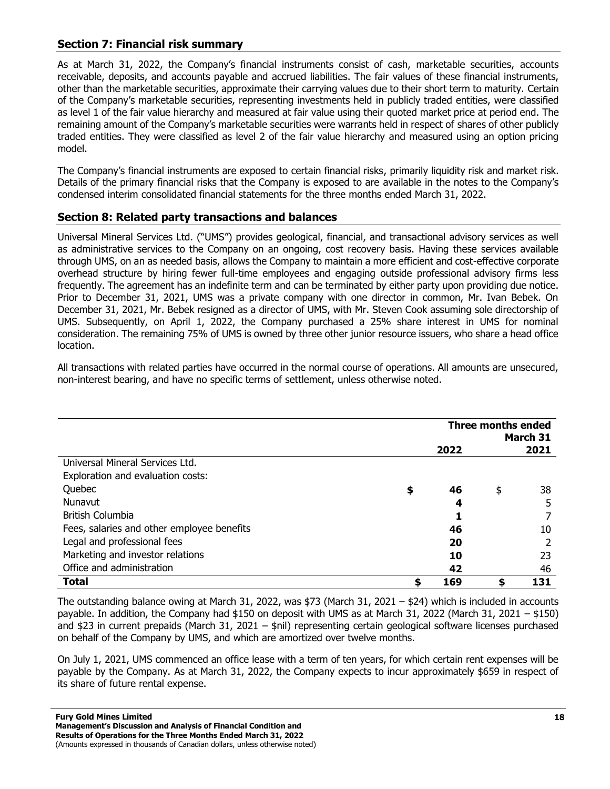# <span id="page-18-0"></span>**Section 7: Financial risk summary**

As at March 31, 2022, the Company's financial instruments consist of cash, marketable securities, accounts receivable, deposits, and accounts payable and accrued liabilities. The fair values of these financial instruments, other than the marketable securities, approximate their carrying values due to their short term to maturity. Certain of the Company's marketable securities, representing investments held in publicly traded entities, were classified as level 1 of the fair value hierarchy and measured at fair value using their quoted market price at period end. The remaining amount of the Company's marketable securities were warrants held in respect of shares of other publicly traded entities. They were classified as level 2 of the fair value hierarchy and measured using an option pricing model.

The Company's financial instruments are exposed to certain financial risks, primarily liquidity risk and market risk. Details of the primary financial risks that the Company is exposed to are available in the notes to the Company's condensed interim consolidated financial statements for the three months ended March 31, 2022.

# <span id="page-18-1"></span>**Section 8: Related party transactions and balances**

Universal Mineral Services Ltd. ("UMS") provides geological, financial, and transactional advisory services as well as administrative services to the Company on an ongoing, cost recovery basis. Having these services available through UMS, on an as needed basis, allows the Company to maintain a more efficient and cost-effective corporate overhead structure by hiring fewer full-time employees and engaging outside professional advisory firms less frequently. The agreement has an indefinite term and can be terminated by either party upon providing due notice. Prior to December 31, 2021, UMS was a private company with one director in common, Mr. Ivan Bebek. On December 31, 2021, Mr. Bebek resigned as a director of UMS, with Mr. Steven Cook assuming sole directorship of UMS. Subsequently, on April 1, 2022, the Company purchased a 25% share interest in UMS for nominal consideration. The remaining 75% of UMS is owned by three other junior resource issuers, who share a head office location.

All transactions with related parties have occurred in the normal course of operations. All amounts are unsecured, non-interest bearing, and have no specific terms of settlement, unless otherwise noted.

|                                            | <b>Three months ended</b><br>March 31 |    |      |  |  |
|--------------------------------------------|---------------------------------------|----|------|--|--|
|                                            | 2022                                  |    | 2021 |  |  |
| Universal Mineral Services Ltd.            |                                       |    |      |  |  |
| Exploration and evaluation costs:          |                                       |    |      |  |  |
| Quebec                                     | \$<br>46                              | \$ | 38   |  |  |
| Nunavut                                    | 4                                     |    | 5    |  |  |
| <b>British Columbia</b>                    |                                       |    |      |  |  |
| Fees, salaries and other employee benefits | 46                                    |    | 10   |  |  |
| Legal and professional fees                | 20                                    |    |      |  |  |
| Marketing and investor relations           | 10                                    |    | 23   |  |  |
| Office and administration                  | 42                                    |    | 46   |  |  |
| Total                                      | \$<br>169                             | \$ | 131  |  |  |

The outstanding balance owing at March 31, 2022, was \$73 (March 31, 2021 – \$24) which is included in accounts payable. In addition, the Company had \$150 on deposit with UMS as at March 31, 2022 (March 31, 2021 – \$150) and \$23 in current prepaids (March 31, 2021 – \$nil) representing certain geological software licenses purchased on behalf of the Company by UMS, and which are amortized over twelve months.

On July 1, 2021, UMS commenced an office lease with a term of ten years, for which certain rent expenses will be payable by the Company. As at March 31, 2022, the Company expects to incur approximately \$659 in respect of its share of future rental expense.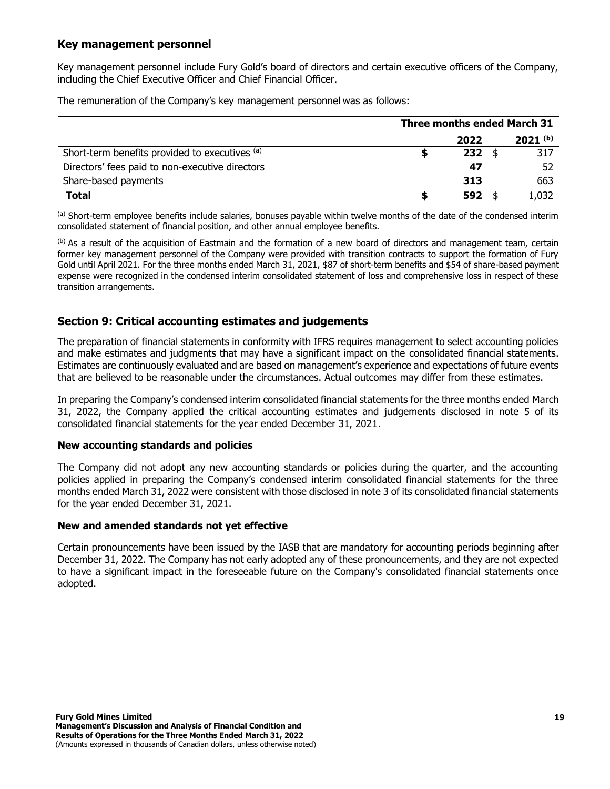# **Key management personnel**

Key management personnel include Fury Gold's board of directors and certain executive officers of the Company, including the Chief Executive Officer and Chief Financial Officer.

The remuneration of the Company's key management personnel was as follows:

|                                                 | <b>Three months ended March 31</b> |      |      |                     |  |  |
|-------------------------------------------------|------------------------------------|------|------|---------------------|--|--|
|                                                 |                                    | 2022 |      | 2021 <sup>(b)</sup> |  |  |
| Short-term benefits provided to executives (a)  |                                    | 232  | - \$ | 317                 |  |  |
| Directors' fees paid to non-executive directors |                                    | 47   |      | 52                  |  |  |
| Share-based payments                            |                                    | 313  |      | 663                 |  |  |
| Total                                           |                                    | 592  | -\$  | 1,032               |  |  |

(a) Short-term employee benefits include salaries, bonuses payable within twelve months of the date of the condensed interim consolidated statement of financial position, and other annual employee benefits.

(b) As a result of the acquisition of Eastmain and the formation of a new board of directors and management team, certain former key management personnel of the Company were provided with transition contracts to support the formation of Fury Gold until April 2021. For the three months ended March 31, 2021, \$87 of short-term benefits and \$54 of share-based payment expense were recognized in the condensed interim consolidated statement of loss and comprehensive loss in respect of these transition arrangements.

# <span id="page-19-0"></span>**Section 9: Critical accounting estimates and judgements**

The preparation of financial statements in conformity with IFRS requires management to select accounting policies and make estimates and judgments that may have a significant impact on the consolidated financial statements. Estimates are continuously evaluated and are based on management's experience and expectations of future events that are believed to be reasonable under the circumstances. Actual outcomes may differ from these estimates.

In preparing the Company's condensed interim consolidated financial statements for the three months ended March 31, 2022, the Company applied the critical accounting estimates and judgements disclosed in note 5 of its consolidated financial statements for the year ended December 31, 2021.

### **New accounting standards and policies**

The Company did not adopt any new accounting standards or policies during the quarter, and the accounting policies applied in preparing the Company's condensed interim consolidated financial statements for the three months ended March 31, 2022 were consistent with those disclosed in note 3 of its consolidated financial statements for the year ended December 31, 2021.

### **New and amended standards not yet effective**

Certain pronouncements have been issued by the IASB that are mandatory for accounting periods beginning after December 31, 2022. The Company has not early adopted any of these pronouncements, and they are not expected to have a significant impact in the foreseeable future on the Company's consolidated financial statements once adopted.